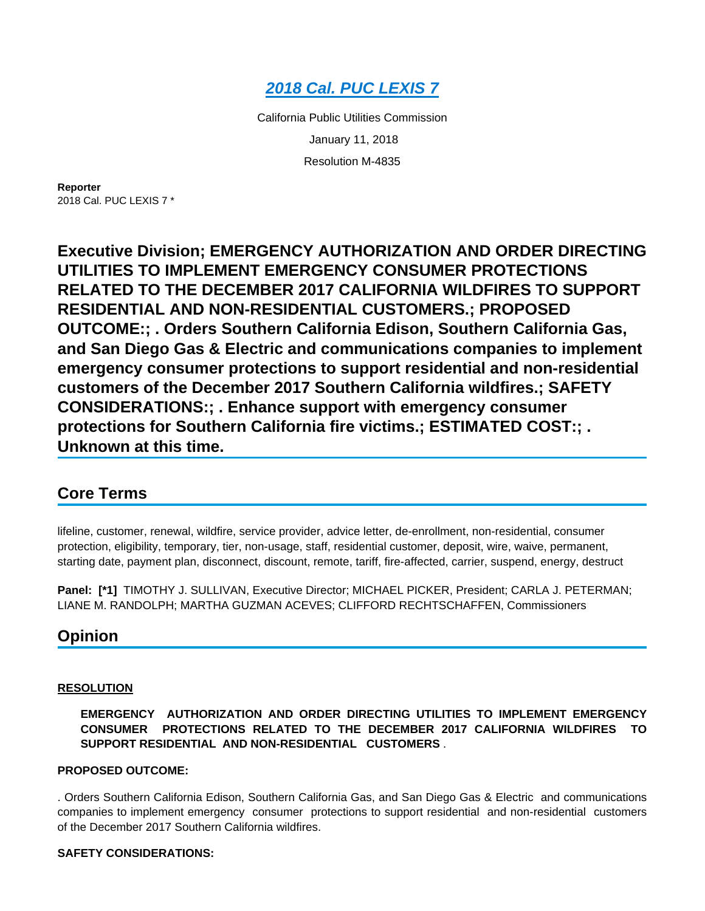

California Public Utilities Commission January 11, 2018 Resolution M-4835

**Reporter** 2018 Cal. PUC LEXIS 7 \*

**Executive Division; EMERGENCY AUTHORIZATION AND ORDER DIRECTING UTILITIES TO IMPLEMENT EMERGENCY CONSUMER PROTECTIONS RELATED TO THE DECEMBER 2017 CALIFORNIA WILDFIRES TO SUPPORT RESIDENTIAL AND NON-RESIDENTIAL CUSTOMERS.; PROPOSED OUTCOME:; . Orders Southern California Edison, Southern California Gas, and San Diego Gas & Electric and communications companies to implement emergency consumer protections to support residential and non-residential customers of the December 2017 Southern California wildfires.; SAFETY CONSIDERATIONS:; . Enhance support with emergency consumer protections for Southern California fire victims.; ESTIMATED COST:; . Unknown at this time.**

# **Core Terms**

lifeline, customer, renewal, wildfire, service provider, advice letter, de-enrollment, non-residential, consumer protection, eligibility, temporary, tier, non-usage, staff, residential customer, deposit, wire, waive, permanent, starting date, payment plan, disconnect, discount, remote, tariff, fire-affected, carrier, suspend, energy, destruct

**Panel: [\*1]** TIMOTHY J. SULLIVAN, Executive Director; MICHAEL PICKER, President; CARLA J. PETERMAN; LIANE M. RANDOLPH; MARTHA GUZMAN ACEVES; CLIFFORD RECHTSCHAFFEN, Commissioners

# **Opinion**

# **RESOLUTION**

# **EMERGENCY AUTHORIZATION AND ORDER DIRECTING UTILITIES TO IMPLEMENT EMERGENCY CONSUMER PROTECTIONS RELATED TO THE DECEMBER 2017 CALIFORNIA WILDFIRES TO SUPPORT RESIDENTIAL AND NON-RESIDENTIAL CUSTOMERS** .

# **PROPOSED OUTCOME:**

. Orders Southern California Edison, Southern California Gas, and San Diego Gas & Electric and communications companies to implement emergency consumer protections to support residential and non-residential customers of the December 2017 Southern California wildfires.

# **SAFETY CONSIDERATIONS:**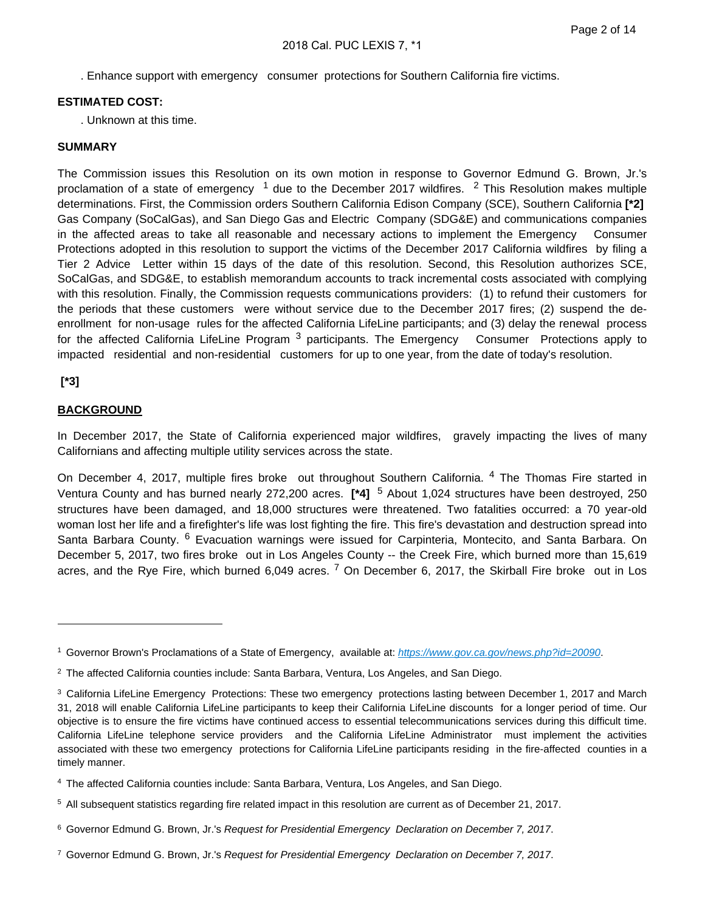. Enhance support with emergency consumer protections for Southern California fire victims.

## **ESTIMATED COST:**

. Unknown at this time.

#### **SUMMARY**

The Commission issues this Resolution on its own motion in response to Governor Edmund G. Brown, Jr.'s proclamation of a state of emergency <sup>1</sup> due to the December 2017 wildfires. <sup>2</sup> This Resolution makes multiple determinations. First, the Commission orders Southern California Edison Company (SCE), Southern California **[\*2]**  Gas Company (SoCalGas), and San Diego Gas and Electric Company (SDG&E) and communications companies in the affected areas to take all reasonable and necessary actions to implement the Emergency Consumer Protections adopted in this resolution to support the victims of the December 2017 California wildfires by filing a Tier 2 Advice Letter within 15 days of the date of this resolution. Second, this Resolution authorizes SCE, SoCalGas, and SDG&E, to establish memorandum accounts to track incremental costs associated with complying with this resolution. Finally, the Commission requests communications providers: (1) to refund their customers for the periods that these customers were without service due to the December 2017 fires; (2) suspend the deenrollment for non-usage rules for the affected California LifeLine participants; and (3) delay the renewal process for the affected California LifeLine Program<sup>3</sup> participants. The Emergency Consumer Protections apply to impacted residential and non-residential customers for up to one year, from the date of today's resolution.

# **[\*3]**

# **BACKGROUND**

In December 2017, the State of California experienced major wildfires, gravely impacting the lives of many Californians and affecting multiple utility services across the state.

On December 4, 2017, multiple fires broke out throughout Southern California. <sup>4</sup> The Thomas Fire started in Ventura County and has burned nearly 272,200 acres. **[\*4]** <sup>5</sup> About 1,024 structures have been destroyed, 250 structures have been damaged, and 18,000 structures were threatened. Two fatalities occurred: a 70 year-old woman lost her life and a firefighter's life was lost fighting the fire. This fire's devastation and destruction spread into Santa Barbara County. <sup>6</sup> Evacuation warnings were issued for Carpinteria, Montecito, and Santa Barbara. On December 5, 2017, two fires broke out in Los Angeles County -- the Creek Fire, which burned more than 15,619 acres, and the Rye Fire, which burned 6,049 acres. <sup>7</sup> On December 6, 2017, the Skirball Fire broke out in Los

- <sup>5</sup>All subsequent statistics regarding fire related impact in this resolution are current as of December 21, 2017.
- <sup>6</sup> Governor Edmund G. Brown, Jr.'s Request for Presidential Emergency Declaration on December 7, 2017.
- <sup>7</sup>Governor Edmund G. Brown, Jr.'s Request for Presidential Emergency Declaration on December 7, 2017.

<sup>&</sup>lt;sup>1</sup> Governor Brown's Proclamations of a State of Emergency, available at: <https://www.gov.ca.gov/news.php?id=20090>.

<sup>&</sup>lt;sup>2</sup> The affected California counties include: Santa Barbara, Ventura, Los Angeles, and San Diego.

<sup>&</sup>lt;sup>3</sup> California LifeLine Emergency Protections: These two emergency protections lasting between December 1, 2017 and March 31, 2018 will enable California LifeLine participants to keep their California LifeLine discounts for a longer period of time. Our objective is to ensure the fire victims have continued access to essential telecommunications services during this difficult time. California LifeLine telephone service providers and the California LifeLine Administrator must implement the activities associated with these two emergency protections for California LifeLine participants residing in the fire-affected counties in a timely manner.

<sup>4</sup>The affected California counties include: Santa Barbara, Ventura, Los Angeles, and San Diego.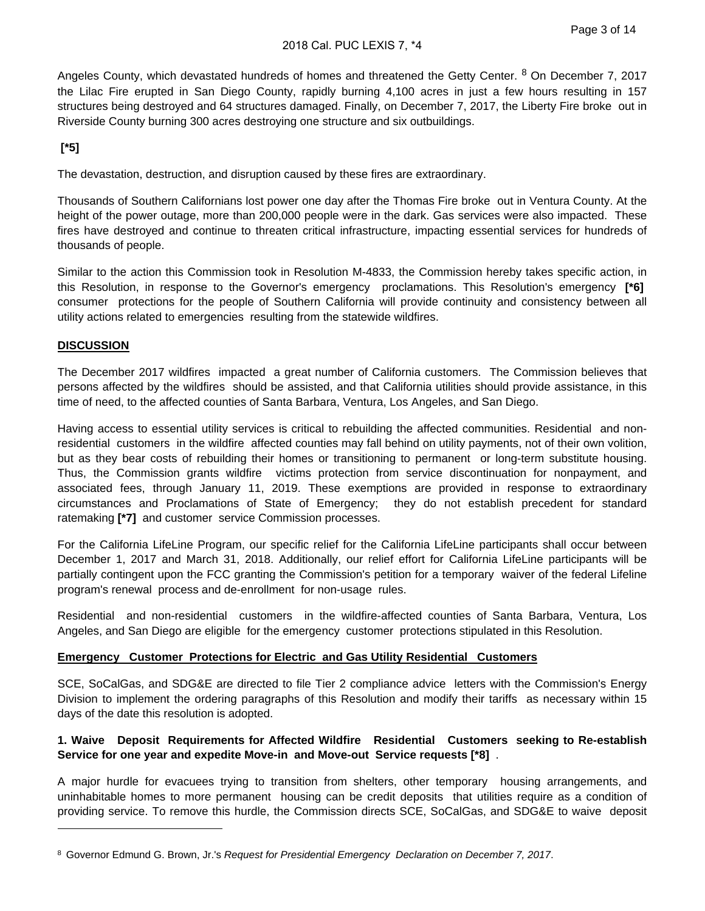Angeles County, which devastated hundreds of homes and threatened the Getty Center. <sup>8</sup> On December 7, 2017 the Lilac Fire erupted in San Diego County, rapidly burning 4,100 acres in just a few hours resulting in 157 structures being destroyed and 64 structures damaged. Finally, on December 7, 2017, the Liberty Fire broke out in Riverside County burning 300 acres destroying one structure and six outbuildings.

# **[\*5]**

The devastation, destruction, and disruption caused by these fires are extraordinary.

Thousands of Southern Californians lost power one day after the Thomas Fire broke out in Ventura County. At the height of the power outage, more than 200,000 people were in the dark. Gas services were also impacted. These fires have destroyed and continue to threaten critical infrastructure, impacting essential services for hundreds of thousands of people.

Similar to the action this Commission took in Resolution M-4833, the Commission hereby takes specific action, in this Resolution, in response to the Governor's emergency proclamations. This Resolution's emergency **[\*6]**  consumer protections for the people of Southern California will provide continuity and consistency between all utility actions related to emergencies resulting from the statewide wildfires.

# **DISCUSSION**

The December 2017 wildfires impacted a great number of California customers. The Commission believes that persons affected by the wildfires should be assisted, and that California utilities should provide assistance, in this time of need, to the affected counties of Santa Barbara, Ventura, Los Angeles, and San Diego.

Having access to essential utility services is critical to rebuilding the affected communities. Residential and nonresidential customers in the wildfire affected counties may fall behind on utility payments, not of their own volition, but as they bear costs of rebuilding their homes or transitioning to permanent or long-term substitute housing. Thus, the Commission grants wildfire victims protection from service discontinuation for nonpayment, and associated fees, through January 11, 2019. These exemptions are provided in response to extraordinary circumstances and Proclamations of State of Emergency; they do not establish precedent for standard ratemaking **[\*7]** and customer service Commission processes.

For the California LifeLine Program, our specific relief for the California LifeLine participants shall occur between December 1, 2017 and March 31, 2018. Additionally, our relief effort for California LifeLine participants will be partially contingent upon the FCC granting the Commission's petition for a temporary waiver of the federal Lifeline program's renewal process and de-enrollment for non-usage rules.

Residential and non-residential customers in the wildfire-affected counties of Santa Barbara, Ventura, Los Angeles, and San Diego are eligible for the emergency customer protections stipulated in this Resolution.

# **Emergency Customer Protections for Electric and Gas Utility Residential Customers**

SCE, SoCalGas, and SDG&E are directed to file Tier 2 compliance advice letters with the Commission's Energy Division to implement the ordering paragraphs of this Resolution and modify their tariffs as necessary within 15 days of the date this resolution is adopted.

# **1. Waive Deposit Requirements for Affected Wildfire Residential Customers seeking to Re-establish Service for one year and expedite Move-in and Move-out Service requests [\*8]** .

A major hurdle for evacuees trying to transition from shelters, other temporary housing arrangements, and uninhabitable homes to more permanent housing can be credit deposits that utilities require as a condition of providing service. To remove this hurdle, the Commission directs SCE, SoCalGas, and SDG&E to waive deposit

<sup>&</sup>lt;sup>8</sup> Governor Edmund G. Brown, Jr.'s Request for Presidential Emergency Declaration on December 7, 2017.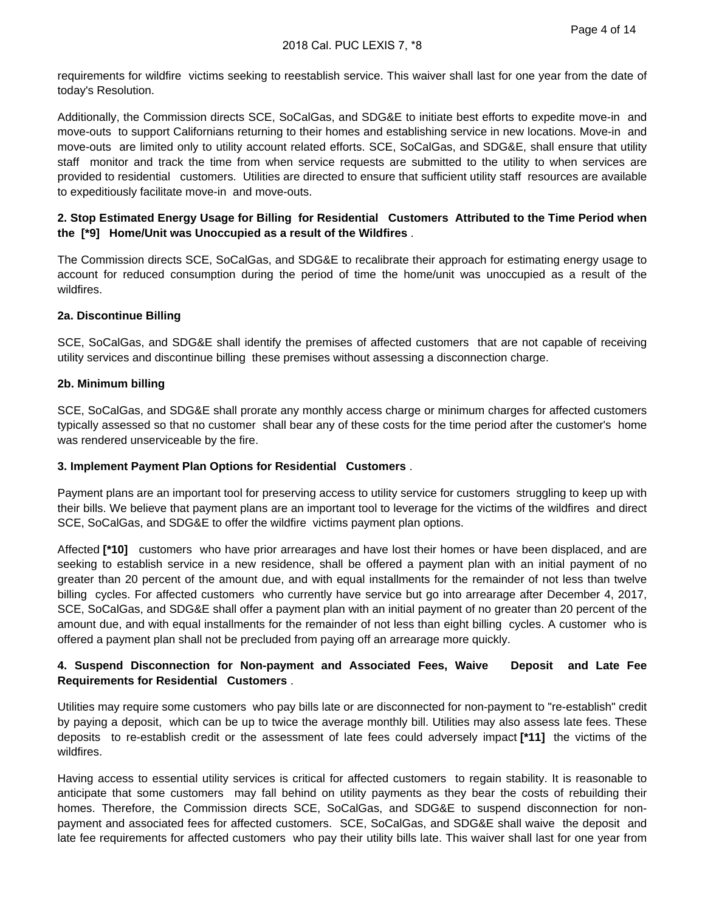requirements for wildfire victims seeking to reestablish service. This waiver shall last for one year from the date of today's Resolution.

Additionally, the Commission directs SCE, SoCalGas, and SDG&E to initiate best efforts to expedite move-in and move-outs to support Californians returning to their homes and establishing service in new locations. Move-in and move-outs are limited only to utility account related efforts. SCE, SoCalGas, and SDG&E, shall ensure that utility staff monitor and track the time from when service requests are submitted to the utility to when services are provided to residential customers. Utilities are directed to ensure that sufficient utility staff resources are available to expeditiously facilitate move-in and move-outs.

# **2. Stop Estimated Energy Usage for Billing for Residential Customers Attributed to the Time Period when the [\*9] Home/Unit was Unoccupied as a result of the Wildfires** .

The Commission directs SCE, SoCalGas, and SDG&E to recalibrate their approach for estimating energy usage to account for reduced consumption during the period of time the home/unit was unoccupied as a result of the wildfires.

# **2a. Discontinue Billing**

SCE, SoCalGas, and SDG&E shall identify the premises of affected customers that are not capable of receiving utility services and discontinue billing these premises without assessing a disconnection charge.

#### **2b. Minimum billing**

SCE, SoCalGas, and SDG&E shall prorate any monthly access charge or minimum charges for affected customers typically assessed so that no customer shall bear any of these costs for the time period after the customer's home was rendered unserviceable by the fire.

#### **3. Implement Payment Plan Options for Residential Customers** .

Payment plans are an important tool for preserving access to utility service for customers struggling to keep up with their bills. We believe that payment plans are an important tool to leverage for the victims of the wildfires and direct SCE, SoCalGas, and SDG&E to offer the wildfire victims payment plan options.

Affected **[\*10]** customers who have prior arrearages and have lost their homes or have been displaced, and are seeking to establish service in a new residence, shall be offered a payment plan with an initial payment of no greater than 20 percent of the amount due, and with equal installments for the remainder of not less than twelve billing cycles. For affected customers who currently have service but go into arrearage after December 4, 2017, SCE, SoCalGas, and SDG&E shall offer a payment plan with an initial payment of no greater than 20 percent of the amount due, and with equal installments for the remainder of not less than eight billing cycles. A customer who is offered a payment plan shall not be precluded from paying off an arrearage more quickly.

# **4. Suspend Disconnection for Non-payment and Associated Fees, Waive Deposit and Late Fee Requirements for Residential Customers** .

Utilities may require some customers who pay bills late or are disconnected for non-payment to "re-establish" credit by paying a deposit, which can be up to twice the average monthly bill. Utilities may also assess late fees. These deposits to re-establish credit or the assessment of late fees could adversely impact **[\*11]** the victims of the wildfires.

Having access to essential utility services is critical for affected customers to regain stability. It is reasonable to anticipate that some customers may fall behind on utility payments as they bear the costs of rebuilding their homes. Therefore, the Commission directs SCE, SoCalGas, and SDG&E to suspend disconnection for nonpayment and associated fees for affected customers. SCE, SoCalGas, and SDG&E shall waive the deposit and late fee requirements for affected customers who pay their utility bills late. This waiver shall last for one year from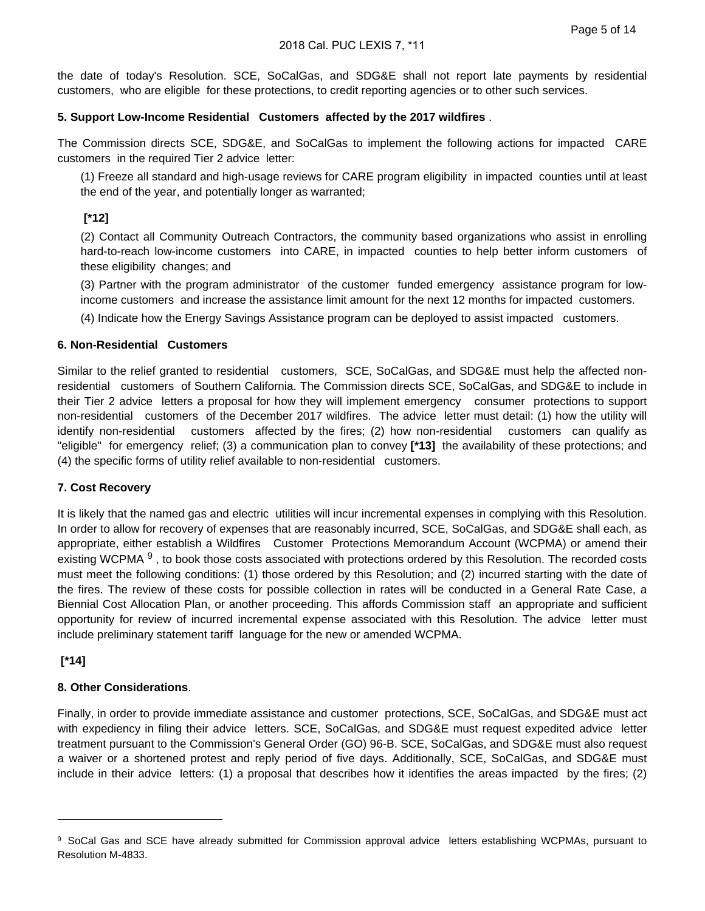the date of today's Resolution. SCE, SoCalGas, and SDG&E shall not report late payments by residential customers, who are eligible for these protections, to credit reporting agencies or to other such services.

#### **5. Support Low-Income Residential Customers affected by the 2017 wildfires** .

The Commission directs SCE, SDG&E, and SoCalGas to implement the following actions for impacted CARE customers in the required Tier 2 advice letter:

(1) Freeze all standard and high-usage reviews for CARE program eligibility in impacted counties until at least the end of the year, and potentially longer as warranted;

# **[\*12]**

(2) Contact all Community Outreach Contractors, the community based organizations who assist in enrolling hard-to-reach low-income customers into CARE, in impacted counties to help better inform customers of these eligibility changes; and

(3) Partner with the program administrator of the customer funded emergency assistance program for lowincome customers and increase the assistance limit amount for the next 12 months for impacted customers.

(4) Indicate how the Energy Savings Assistance program can be deployed to assist impacted customers.

#### **6. Non-Residential Customers**

Similar to the relief granted to residential customers, SCE, SoCalGas, and SDG&E must help the affected nonresidential customers of Southern California. The Commission directs SCE, SoCalGas, and SDG&E to include in their Tier 2 advice letters a proposal for how they will implement emergency consumer protections to support non-residential customers of the December 2017 wildfires. The advice letter must detail: (1) how the utility will identify non-residential customers affected by the fires; (2) how non-residential customers can qualify as "eligible" for emergency relief; (3) a communication plan to convey **[\*13]** the availability of these protections; and (4) the specific forms of utility relief available to non-residential customers.

# **7. Cost Recovery**

It is likely that the named gas and electric utilities will incur incremental expenses in complying with this Resolution. In order to allow for recovery of expenses that are reasonably incurred, SCE, SoCalGas, and SDG&E shall each, as appropriate, either establish a Wildfires Customer Protections Memorandum Account (WCPMA) or amend their existing WCPMA <sup>9</sup>, to book those costs associated with protections ordered by this Resolution. The recorded costs must meet the following conditions: (1) those ordered by this Resolution; and (2) incurred starting with the date of the fires. The review of these costs for possible collection in rates will be conducted in a General Rate Case, a Biennial Cost Allocation Plan, or another proceeding. This affords Commission staff an appropriate and sufficient opportunity for review of incurred incremental expense associated with this Resolution. The advice letter must include preliminary statement tariff language for the new or amended WCPMA.

# **[\*14]**

# **8. Other Considerations**.

Finally, in order to provide immediate assistance and customer protections, SCE, SoCalGas, and SDG&E must act with expediency in filing their advice letters. SCE, SoCalGas, and SDG&E must request expedited advice letter treatment pursuant to the Commission's General Order (GO) 96-B. SCE, SoCalGas, and SDG&E must also request a waiver or a shortened protest and reply period of five days. Additionally, SCE, SoCalGas, and SDG&E must include in their advice letters: (1) a proposal that describes how it identifies the areas impacted by the fires; (2)

<sup>9</sup> SoCal Gas and SCE have already submitted for Commission approval advice letters establishing WCPMAs, pursuant to Resolution M-4833.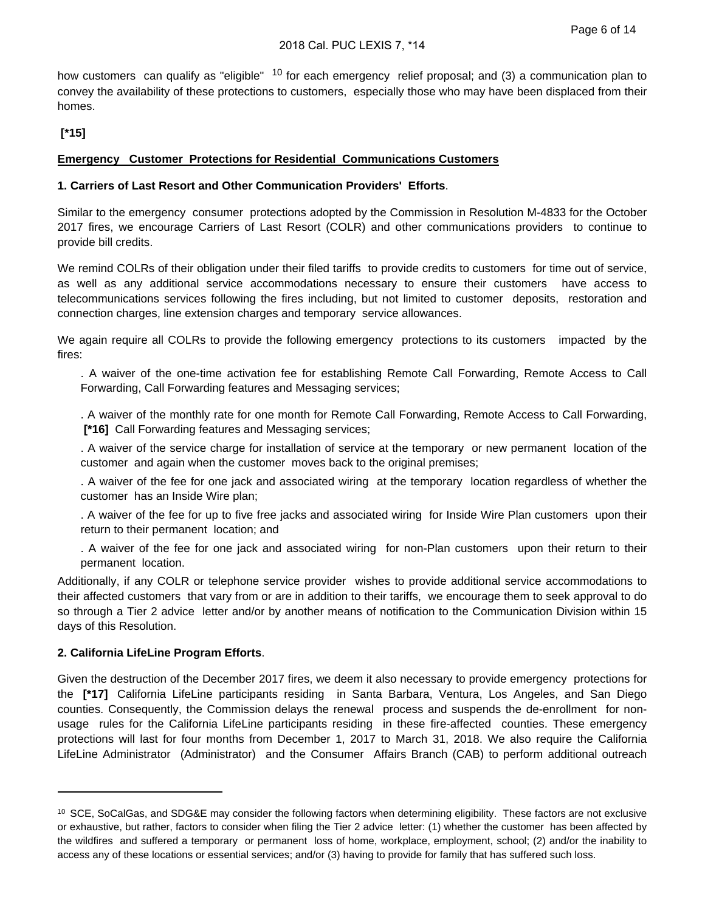how customers can qualify as "eligible" <sup>10</sup> for each emergency relief proposal; and (3) a communication plan to convey the availability of these protections to customers, especially those who may have been displaced from their homes.

# **[\*15]**

# **Emergency Customer Protections for Residential Communications Customers**

# **1. Carriers of Last Resort and Other Communication Providers' Efforts**.

Similar to the emergency consumer protections adopted by the Commission in Resolution M-4833 for the October 2017 fires, we encourage Carriers of Last Resort (COLR) and other communications providers to continue to provide bill credits.

We remind COLRs of their obligation under their filed tariffs to provide credits to customers for time out of service, as well as any additional service accommodations necessary to ensure their customers have access to telecommunications services following the fires including, but not limited to customer deposits, restoration and connection charges, line extension charges and temporary service allowances.

We again require all COLRs to provide the following emergency protections to its customers impacted by the fires:

. A waiver of the one-time activation fee for establishing Remote Call Forwarding, Remote Access to Call Forwarding, Call Forwarding features and Messaging services;

. A waiver of the monthly rate for one month for Remote Call Forwarding, Remote Access to Call Forwarding,  **[\*16]** Call Forwarding features and Messaging services;

. A waiver of the service charge for installation of service at the temporary or new permanent location of the customer and again when the customer moves back to the original premises;

. A waiver of the fee for one jack and associated wiring at the temporary location regardless of whether the customer has an Inside Wire plan;

. A waiver of the fee for up to five free jacks and associated wiring for Inside Wire Plan customers upon their return to their permanent location; and

. A waiver of the fee for one jack and associated wiring for non-Plan customers upon their return to their permanent location.

Additionally, if any COLR or telephone service provider wishes to provide additional service accommodations to their affected customers that vary from or are in addition to their tariffs, we encourage them to seek approval to do so through a Tier 2 advice letter and/or by another means of notification to the Communication Division within 15 days of this Resolution.

# **2. California LifeLine Program Efforts**.

Given the destruction of the December 2017 fires, we deem it also necessary to provide emergency protections for the **[\*17]** California LifeLine participants residing in Santa Barbara, Ventura, Los Angeles, and San Diego counties. Consequently, the Commission delays the renewal process and suspends the de-enrollment for nonusage rules for the California LifeLine participants residing in these fire-affected counties. These emergency protections will last for four months from December 1, 2017 to March 31, 2018. We also require the California LifeLine Administrator (Administrator) and the Consumer Affairs Branch (CAB) to perform additional outreach

<sup>&</sup>lt;sup>10</sup> SCE, SoCalGas, and SDG&E may consider the following factors when determining eligibility. These factors are not exclusive or exhaustive, but rather, factors to consider when filing the Tier 2 advice letter: (1) whether the customer has been affected by the wildfires and suffered a temporary or permanent loss of home, workplace, employment, school; (2) and/or the inability to access any of these locations or essential services; and/or (3) having to provide for family that has suffered such loss.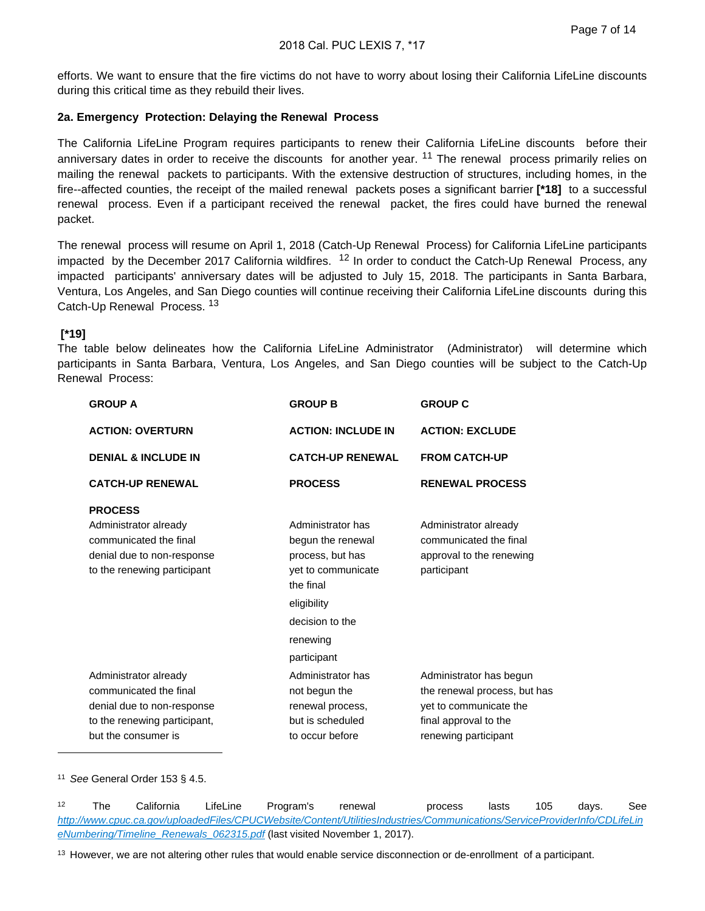efforts. We want to ensure that the fire victims do not have to worry about losing their California LifeLine discounts during this critical time as they rebuild their lives.

# **2a. Emergency Protection: Delaying the Renewal Process**

The California LifeLine Program requires participants to renew their California LifeLine discounts before their anniversary dates in order to receive the discounts for another year. <sup>11</sup> The renewal process primarily relies on mailing the renewal packets to participants. With the extensive destruction of structures, including homes, in the fire--affected counties, the receipt of the mailed renewal packets poses a significant barrier **[\*18]** to a successful renewal process. Even if a participant received the renewal packet, the fires could have burned the renewal packet.

The renewal process will resume on April 1, 2018 (Catch-Up Renewal Process) for California LifeLine participants impacted by the December 2017 California wildfires.  $12$  In order to conduct the Catch-Up Renewal Process, any impacted participants' anniversary dates will be adjusted to July 15, 2018. The participants in Santa Barbara, Ventura, Los Angeles, and San Diego counties will continue receiving their California LifeLine discounts during this Catch-Up Renewal Process. <sup>13</sup>

# **[\*19]**

The table below delineates how the California LifeLine Administrator (Administrator) will determine which participants in Santa Barbara, Ventura, Los Angeles, and San Diego counties will be subject to the Catch-Up Renewal Process:

| <b>GROUP A</b>                                                                                                                       | <b>GROUP B</b>                                                                                                                                             | <b>GROUP C</b>                                                                                                                     |
|--------------------------------------------------------------------------------------------------------------------------------------|------------------------------------------------------------------------------------------------------------------------------------------------------------|------------------------------------------------------------------------------------------------------------------------------------|
| <b>ACTION: OVERTURN</b>                                                                                                              | <b>ACTION: INCLUDE IN</b>                                                                                                                                  | <b>ACTION: EXCLUDE</b>                                                                                                             |
| <b>DENIAL &amp; INCLUDE IN</b>                                                                                                       | <b>CATCH-UP RENEWAL</b>                                                                                                                                    | <b>FROM CATCH-UP</b>                                                                                                               |
| <b>CATCH-UP RENEWAL</b>                                                                                                              | <b>PROCESS</b>                                                                                                                                             | <b>RENEWAL PROCESS</b>                                                                                                             |
| <b>PROCESS</b><br>Administrator already<br>communicated the final<br>denial due to non-response<br>to the renewing participant       | Administrator has<br>begun the renewal<br>process, but has<br>yet to communicate<br>the final<br>eligibility<br>decision to the<br>renewing<br>participant | Administrator already<br>communicated the final<br>approval to the renewing<br>participant                                         |
| Administrator already<br>communicated the final<br>denial due to non-response<br>to the renewing participant,<br>but the consumer is | Administrator has<br>not begun the<br>renewal process,<br>but is scheduled<br>to occur before                                                              | Administrator has begun<br>the renewal process, but has<br>yet to communicate the<br>final approval to the<br>renewing participant |

<sup>11</sup> See General Order 153 § 4.5.

 $12$  The California LifeLine Program's renewal process lasts 105 days. See [http://www.cpuc.ca.gov/uploadedFiles/CPUCWebsite/Content/UtilitiesIndustries/Communications/ServiceProviderInfo/CDLifeLin](http://www.cpuc.ca.gov/uploadedFiles/CPUCWebsite/Content/UtilitiesIndustries/Communications/ServiceProviderInfo/CDLifeLineNumbering/Timeline_Renewals_062315.pdf) [eNumbering/Timeline\\_Renewals\\_062315.pdf](http://www.cpuc.ca.gov/uploadedFiles/CPUCWebsite/Content/UtilitiesIndustries/Communications/ServiceProviderInfo/CDLifeLineNumbering/Timeline_Renewals_062315.pdf) (last visited November 1, 2017).

13 However, we are not altering other rules that would enable service disconnection or de-enrollment of a participant.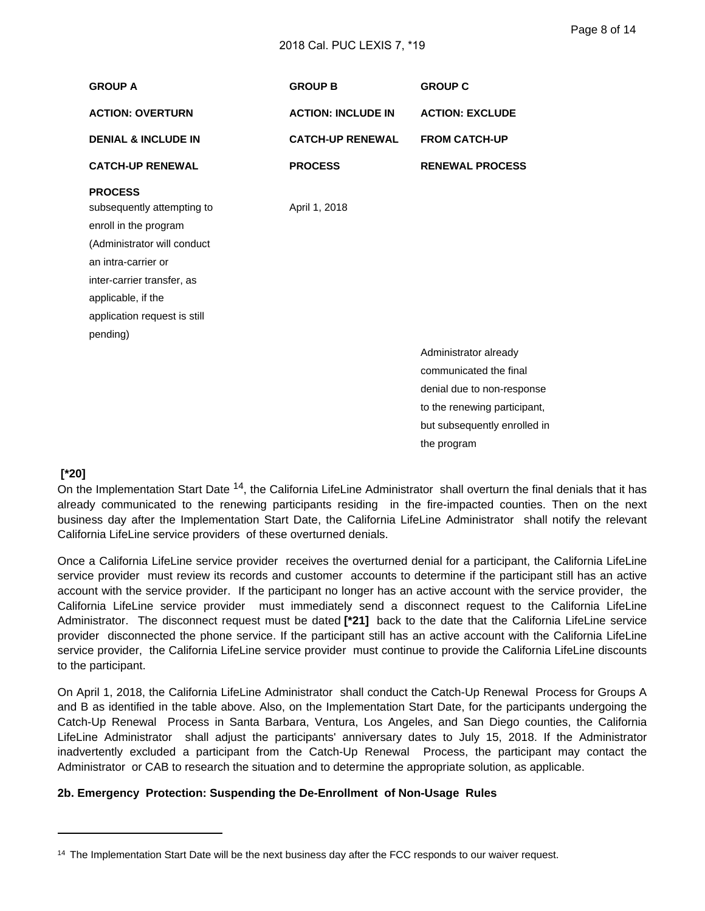#### 2018 Cal. PUC LEXIS 7, \*19

| <b>GROUP A</b>                                                                                                                                                                                                              | <b>GROUP B</b>            | <b>GROUP C</b>                                                                                                                                |
|-----------------------------------------------------------------------------------------------------------------------------------------------------------------------------------------------------------------------------|---------------------------|-----------------------------------------------------------------------------------------------------------------------------------------------|
| <b>ACTION: OVERTURN</b>                                                                                                                                                                                                     | <b>ACTION: INCLUDE IN</b> | <b>ACTION: EXCLUDE</b>                                                                                                                        |
| <b>DENIAL &amp; INCLUDE IN</b>                                                                                                                                                                                              | <b>CATCH-UP RENEWAL</b>   | <b>FROM CATCH-UP</b>                                                                                                                          |
| <b>CATCH-UP RENEWAL</b>                                                                                                                                                                                                     | <b>PROCESS</b>            | <b>RENEWAL PROCESS</b>                                                                                                                        |
| <b>PROCESS</b><br>subsequently attempting to<br>enroll in the program<br>(Administrator will conduct<br>an intra-carrier or<br>inter-carrier transfer, as<br>applicable, if the<br>application request is still<br>pending) | April 1, 2018             |                                                                                                                                               |
|                                                                                                                                                                                                                             |                           | Administrator already<br>communicated the final<br>denial due to non-response<br>to the renewing participant,<br>but subsequently enrolled in |

#### the program

#### **[\*20]**

On the Implementation Start Date <sup>14</sup>, the California LifeLine Administrator shall overturn the final denials that it has already communicated to the renewing participants residing in the fire-impacted counties. Then on the next business day after the Implementation Start Date, the California LifeLine Administrator shall notify the relevant California LifeLine service providers of these overturned denials.

Once a California LifeLine service provider receives the overturned denial for a participant, the California LifeLine service provider must review its records and customer accounts to determine if the participant still has an active account with the service provider. If the participant no longer has an active account with the service provider, the California LifeLine service provider must immediately send a disconnect request to the California LifeLine Administrator. The disconnect request must be dated **[\*21]** back to the date that the California LifeLine service provider disconnected the phone service. If the participant still has an active account with the California LifeLine service provider, the California LifeLine service provider must continue to provide the California LifeLine discounts to the participant.

On April 1, 2018, the California LifeLine Administrator shall conduct the Catch-Up Renewal Process for Groups A and B as identified in the table above. Also, on the Implementation Start Date, for the participants undergoing the Catch-Up Renewal Process in Santa Barbara, Ventura, Los Angeles, and San Diego counties, the California LifeLine Administrator shall adjust the participants' anniversary dates to July 15, 2018. If the Administrator inadvertently excluded a participant from the Catch-Up Renewal Process, the participant may contact the Administrator or CAB to research the situation and to determine the appropriate solution, as applicable.

#### **2b. Emergency Protection: Suspending the De-Enrollment of Non-Usage Rules**

<sup>&</sup>lt;sup>14</sup> The Implementation Start Date will be the next business day after the FCC responds to our waiver request.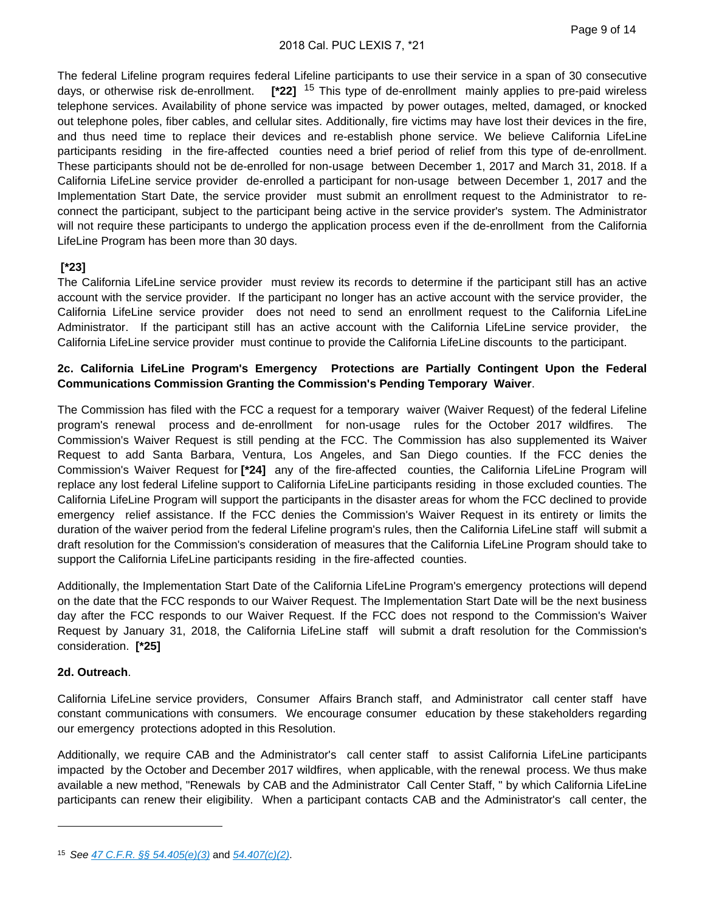The federal Lifeline program requires federal Lifeline participants to use their service in a span of 30 consecutive days, or otherwise risk de-enrollment. **[\*22]** 15 This type of de-enrollment mainly applies to pre-paid wireless telephone services. Availability of phone service was impacted by power outages, melted, damaged, or knocked out telephone poles, fiber cables, and cellular sites. Additionally, fire victims may have lost their devices in the fire, and thus need time to replace their devices and re-establish phone service. We believe California LifeLine participants residing in the fire-affected counties need a brief period of relief from this type of de-enrollment. These participants should not be de-enrolled for non-usage between December 1, 2017 and March 31, 2018. If a California LifeLine service provider de-enrolled a participant for non-usage between December 1, 2017 and the Implementation Start Date, the service provider must submit an enrollment request to the Administrator to reconnect the participant, subject to the participant being active in the service provider's system. The Administrator will not require these participants to undergo the application process even if the de-enrollment from the California LifeLine Program has been more than 30 days.

# **[\*23]**

The California LifeLine service provider must review its records to determine if the participant still has an active account with the service provider. If the participant no longer has an active account with the service provider, the California LifeLine service provider does not need to send an enrollment request to the California LifeLine Administrator. If the participant still has an active account with the California LifeLine service provider, the California LifeLine service provider must continue to provide the California LifeLine discounts to the participant.

# **2c. California LifeLine Program's Emergency Protections are Partially Contingent Upon the Federal Communications Commission Granting the Commission's Pending Temporary Waiver**.

The Commission has filed with the FCC a request for a temporary waiver (Waiver Request) of the federal Lifeline program's renewal process and de-enrollment for non-usage rules for the October 2017 wildfires. The Commission's Waiver Request is still pending at the FCC. The Commission has also supplemented its Waiver Request to add Santa Barbara, Ventura, Los Angeles, and San Diego counties. If the FCC denies the Commission's Waiver Request for **[\*24]** any of the fire-affected counties, the California LifeLine Program will replace any lost federal Lifeline support to California LifeLine participants residing in those excluded counties. The California LifeLine Program will support the participants in the disaster areas for whom the FCC declined to provide emergency relief assistance. If the FCC denies the Commission's Waiver Request in its entirety or limits the duration of the waiver period from the federal Lifeline program's rules, then the California LifeLine staff will submit a draft resolution for the Commission's consideration of measures that the California LifeLine Program should take to support the California LifeLine participants residing in the fire-affected counties.

Additionally, the Implementation Start Date of the California LifeLine Program's emergency protections will depend on the date that the FCC responds to our Waiver Request. The Implementation Start Date will be the next business day after the FCC responds to our Waiver Request. If the FCC does not respond to the Commission's Waiver Request by January 31, 2018, the California LifeLine staff will submit a draft resolution for the Commission's consideration. **[\*25]** 

# **2d. Outreach**.

California LifeLine service providers, Consumer Affairs Branch staff, and Administrator call center staff have constant communications with consumers. We encourage consumer education by these stakeholders regarding our emergency protections adopted in this Resolution.

Additionally, we require CAB and the Administrator's call center staff to assist California LifeLine participants impacted by the October and December 2017 wildfires, when applicable, with the renewal process. We thus make available a new method, "Renewals by CAB and the Administrator Call Center Staff, " by which California LifeLine participants can renew their eligibility. When a participant contacts CAB and the Administrator's call center, the

<sup>15</sup> See [47 C.F.R. §§ 54.405\(e\)\(3\)](http://advance.lexis.com/api/document?collection=administrative-codes&id=urn:contentItem:5T6N-JN20-008H-04RV-00000-00&context=) and [54.407\(c\)\(2\)](http://advance.lexis.com/api/document?collection=administrative-codes&id=urn:contentItem:5T6N-JMX0-008H-02Y2-00000-00&context=).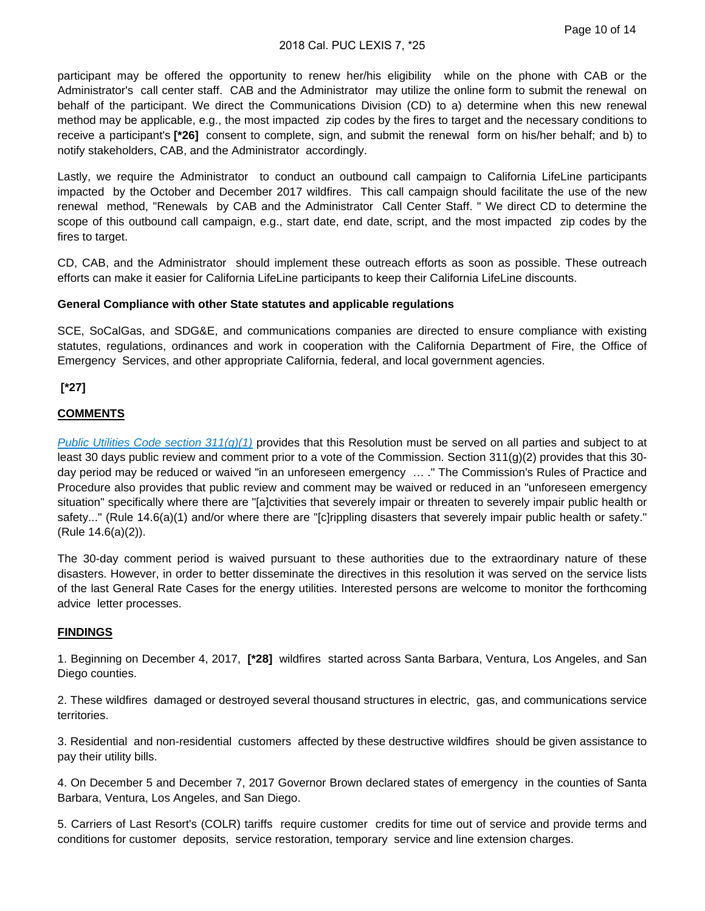#### 2018 Cal. PUC LEXIS 7, \*25

participant may be offered the opportunity to renew her/his eligibility while on the phone with CAB or the Administrator's call center staff. CAB and the Administrator may utilize the online form to submit the renewal on behalf of the participant. We direct the Communications Division (CD) to a) determine when this new renewal method may be applicable, e.g., the most impacted zip codes by the fires to target and the necessary conditions to receive a participant's **[\*26]** consent to complete, sign, and submit the renewal form on his/her behalf; and b) to notify stakeholders, CAB, and the Administrator accordingly.

Lastly, we require the Administrator to conduct an outbound call campaign to California LifeLine participants impacted by the October and December 2017 wildfires. This call campaign should facilitate the use of the new renewal method, "Renewals by CAB and the Administrator Call Center Staff. " We direct CD to determine the scope of this outbound call campaign, e.g., start date, end date, script, and the most impacted zip codes by the fires to target.

CD, CAB, and the Administrator should implement these outreach efforts as soon as possible. These outreach efforts can make it easier for California LifeLine participants to keep their California LifeLine discounts.

#### **General Compliance with other State statutes and applicable regulations**

SCE, SoCalGas, and SDG&E, and communications companies are directed to ensure compliance with existing statutes, regulations, ordinances and work in cooperation with the California Department of Fire, the Office of Emergency Services, and other appropriate California, federal, and local government agencies.

 **[\*27]** 

#### **COMMENTS**

[Public Utilities Code section 311\(g\)\(1\)](http://advance.lexis.com/api/document?collection=statutes-legislation&id=urn:contentItem:5J6S-62B1-66B9-811V-00000-00&context=) provides that this Resolution must be served on all parties and subject to at least 30 days public review and comment prior to a vote of the Commission. Section 311(g)(2) provides that this 30 day period may be reduced or waived "in an unforeseen emergency … ." The Commission's Rules of Practice and Procedure also provides that public review and comment may be waived or reduced in an "unforeseen emergency situation" specifically where there are "[a]ctivities that severely impair or threaten to severely impair public health or safety..." (Rule 14.6(a)(1) and/or where there are "[c]rippling disasters that severely impair public health or safety." (Rule 14.6(a)(2)).

The 30-day comment period is waived pursuant to these authorities due to the extraordinary nature of these disasters. However, in order to better disseminate the directives in this resolution it was served on the service lists of the last General Rate Cases for the energy utilities. Interested persons are welcome to monitor the forthcoming advice letter processes.

#### **FINDINGS**

1. Beginning on December 4, 2017, **[\*28]** wildfires started across Santa Barbara, Ventura, Los Angeles, and San Diego counties.

2. These wildfires damaged or destroyed several thousand structures in electric, gas, and communications service territories.

3. Residential and non-residential customers affected by these destructive wildfires should be given assistance to pay their utility bills.

4. On December 5 and December 7, 2017 Governor Brown declared states of emergency in the counties of Santa Barbara, Ventura, Los Angeles, and San Diego.

5. Carriers of Last Resort's (COLR) tariffs require customer credits for time out of service and provide terms and conditions for customer deposits, service restoration, temporary service and line extension charges.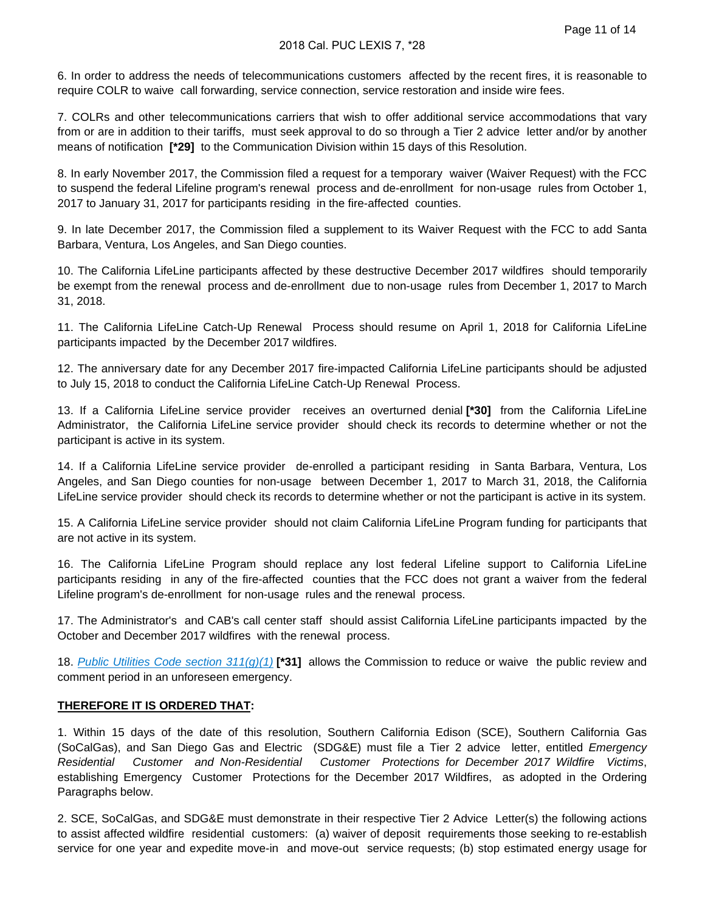6. In order to address the needs of telecommunications customers affected by the recent fires, it is reasonable to require COLR to waive call forwarding, service connection, service restoration and inside wire fees.

7. COLRs and other telecommunications carriers that wish to offer additional service accommodations that vary from or are in addition to their tariffs, must seek approval to do so through a Tier 2 advice letter and/or by another means of notification **[\*29]** to the Communication Division within 15 days of this Resolution.

8. In early November 2017, the Commission filed a request for a temporary waiver (Waiver Request) with the FCC to suspend the federal Lifeline program's renewal process and de-enrollment for non-usage rules from October 1, 2017 to January 31, 2017 for participants residing in the fire-affected counties.

9. In late December 2017, the Commission filed a supplement to its Waiver Request with the FCC to add Santa Barbara, Ventura, Los Angeles, and San Diego counties.

10. The California LifeLine participants affected by these destructive December 2017 wildfires should temporarily be exempt from the renewal process and de-enrollment due to non-usage rules from December 1, 2017 to March 31, 2018.

11. The California LifeLine Catch-Up Renewal Process should resume on April 1, 2018 for California LifeLine participants impacted by the December 2017 wildfires.

12. The anniversary date for any December 2017 fire-impacted California LifeLine participants should be adjusted to July 15, 2018 to conduct the California LifeLine Catch-Up Renewal Process.

13. If a California LifeLine service provider receives an overturned denial **[\*30]** from the California LifeLine Administrator, the California LifeLine service provider should check its records to determine whether or not the participant is active in its system.

14. If a California LifeLine service provider de-enrolled a participant residing in Santa Barbara, Ventura, Los Angeles, and San Diego counties for non-usage between December 1, 2017 to March 31, 2018, the California LifeLine service provider should check its records to determine whether or not the participant is active in its system.

15. A California LifeLine service provider should not claim California LifeLine Program funding for participants that are not active in its system.

16. The California LifeLine Program should replace any lost federal Lifeline support to California LifeLine participants residing in any of the fire-affected counties that the FCC does not grant a waiver from the federal Lifeline program's de-enrollment for non-usage rules and the renewal process.

17. The Administrator's and CAB's call center staff should assist California LifeLine participants impacted by the October and December 2017 wildfires with the renewal process.

18. [Public Utilities Code section 311\(g\)\(1\)](http://advance.lexis.com/api/document?collection=statutes-legislation&id=urn:contentItem:5J6S-62B1-66B9-811V-00000-00&context=) **[\*31]** allows the Commission to reduce or waive the public review and comment period in an unforeseen emergency.

#### **THEREFORE IT IS ORDERED THAT:**

1. Within 15 days of the date of this resolution, Southern California Edison (SCE), Southern California Gas (SoCalGas), and San Diego Gas and Electric (SDG&E) must file a Tier 2 advice letter, entitled Emergency Residential Customer and Non-Residential Customer Protections for December 2017 Wildfire Victims, establishing Emergency Customer Protections for the December 2017 Wildfires, as adopted in the Ordering Paragraphs below.

2. SCE, SoCalGas, and SDG&E must demonstrate in their respective Tier 2 Advice Letter(s) the following actions to assist affected wildfire residential customers: (a) waiver of deposit requirements those seeking to re-establish service for one year and expedite move-in and move-out service requests; (b) stop estimated energy usage for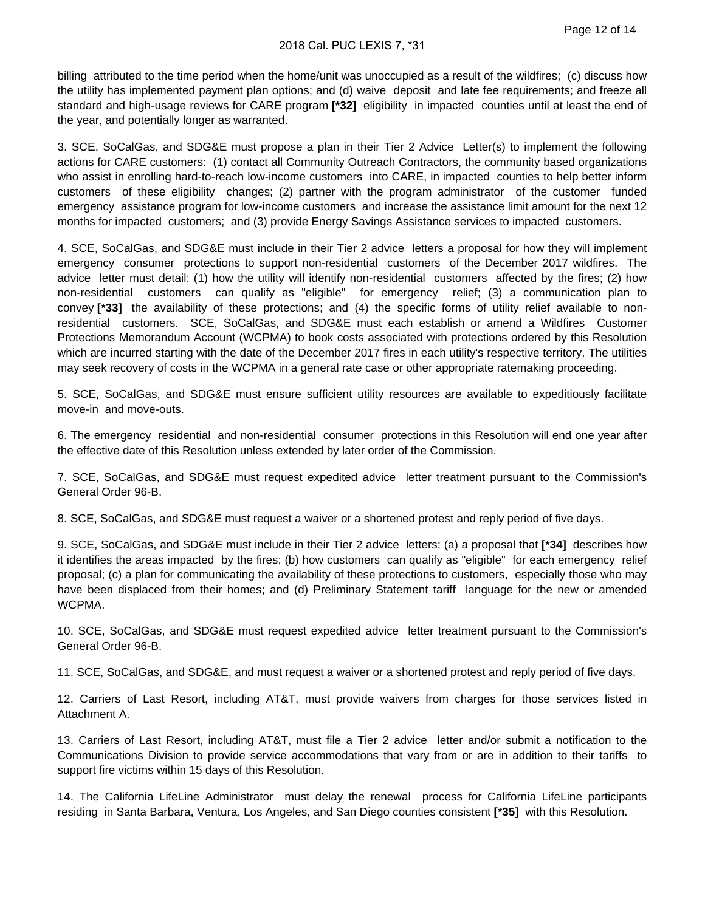billing attributed to the time period when the home/unit was unoccupied as a result of the wildfires; (c) discuss how the utility has implemented payment plan options; and (d) waive deposit and late fee requirements; and freeze all standard and high-usage reviews for CARE program **[\*32]** eligibility in impacted counties until at least the end of the year, and potentially longer as warranted.

3. SCE, SoCalGas, and SDG&E must propose a plan in their Tier 2 Advice Letter(s) to implement the following actions for CARE customers: (1) contact all Community Outreach Contractors, the community based organizations who assist in enrolling hard-to-reach low-income customers into CARE, in impacted counties to help better inform customers of these eligibility changes; (2) partner with the program administrator of the customer funded emergency assistance program for low-income customers and increase the assistance limit amount for the next 12 months for impacted customers; and (3) provide Energy Savings Assistance services to impacted customers.

4. SCE, SoCalGas, and SDG&E must include in their Tier 2 advice letters a proposal for how they will implement emergency consumer protections to support non-residential customers of the December 2017 wildfires. The advice letter must detail: (1) how the utility will identify non-residential customers affected by the fires; (2) how non-residential customers can qualify as "eligible" for emergency relief; (3) a communication plan to convey **[\*33]** the availability of these protections; and (4) the specific forms of utility relief available to nonresidential customers. SCE, SoCalGas, and SDG&E must each establish or amend a Wildfires Customer Protections Memorandum Account (WCPMA) to book costs associated with protections ordered by this Resolution which are incurred starting with the date of the December 2017 fires in each utility's respective territory. The utilities may seek recovery of costs in the WCPMA in a general rate case or other appropriate ratemaking proceeding.

5. SCE, SoCalGas, and SDG&E must ensure sufficient utility resources are available to expeditiously facilitate move-in and move-outs.

6. The emergency residential and non-residential consumer protections in this Resolution will end one year after the effective date of this Resolution unless extended by later order of the Commission.

7. SCE, SoCalGas, and SDG&E must request expedited advice letter treatment pursuant to the Commission's General Order 96-B.

8. SCE, SoCalGas, and SDG&E must request a waiver or a shortened protest and reply period of five days.

9. SCE, SoCalGas, and SDG&E must include in their Tier 2 advice letters: (a) a proposal that **[\*34]** describes how it identifies the areas impacted by the fires; (b) how customers can qualify as "eligible" for each emergency relief proposal; (c) a plan for communicating the availability of these protections to customers, especially those who may have been displaced from their homes; and (d) Preliminary Statement tariff language for the new or amended WCPMA.

10. SCE, SoCalGas, and SDG&E must request expedited advice letter treatment pursuant to the Commission's General Order 96-B.

11. SCE, SoCalGas, and SDG&E, and must request a waiver or a shortened protest and reply period of five days.

12. Carriers of Last Resort, including AT&T, must provide waivers from charges for those services listed in Attachment A.

13. Carriers of Last Resort, including AT&T, must file a Tier 2 advice letter and/or submit a notification to the Communications Division to provide service accommodations that vary from or are in addition to their tariffs to support fire victims within 15 days of this Resolution.

14. The California LifeLine Administrator must delay the renewal process for California LifeLine participants residing in Santa Barbara, Ventura, Los Angeles, and San Diego counties consistent **[\*35]** with this Resolution.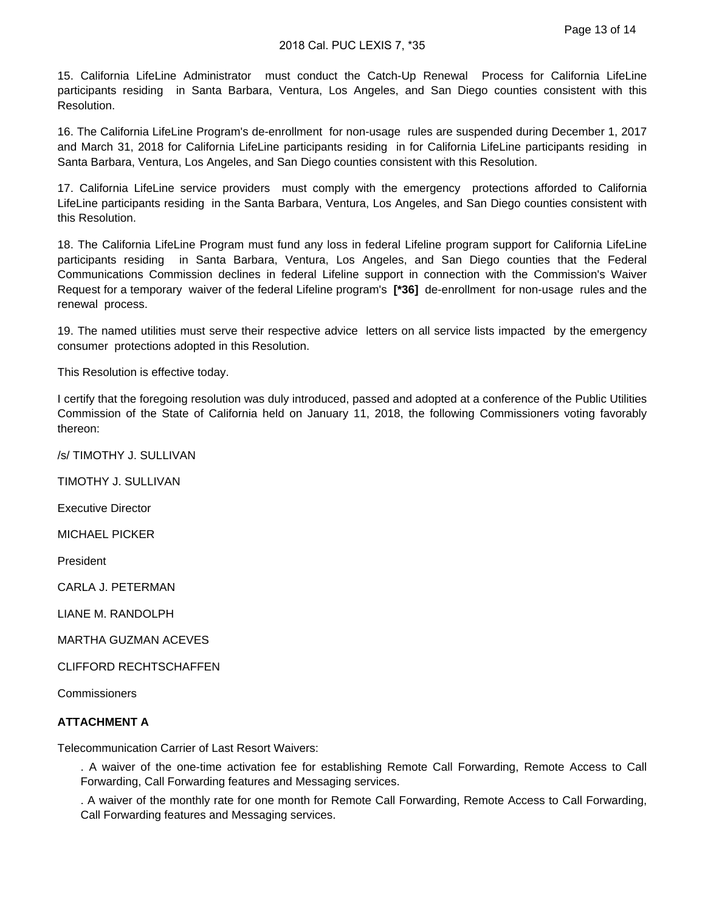15. California LifeLine Administrator must conduct the Catch-Up Renewal Process for California LifeLine participants residing in Santa Barbara, Ventura, Los Angeles, and San Diego counties consistent with this Resolution.

16. The California LifeLine Program's de-enrollment for non-usage rules are suspended during December 1, 2017 and March 31, 2018 for California LifeLine participants residing in for California LifeLine participants residing in Santa Barbara, Ventura, Los Angeles, and San Diego counties consistent with this Resolution.

17. California LifeLine service providers must comply with the emergency protections afforded to California LifeLine participants residing in the Santa Barbara, Ventura, Los Angeles, and San Diego counties consistent with this Resolution.

18. The California LifeLine Program must fund any loss in federal Lifeline program support for California LifeLine participants residing in Santa Barbara, Ventura, Los Angeles, and San Diego counties that the Federal Communications Commission declines in federal Lifeline support in connection with the Commission's Waiver Request for a temporary waiver of the federal Lifeline program's **[\*36]** de-enrollment for non-usage rules and the renewal process.

19. The named utilities must serve their respective advice letters on all service lists impacted by the emergency consumer protections adopted in this Resolution.

This Resolution is effective today.

I certify that the foregoing resolution was duly introduced, passed and adopted at a conference of the Public Utilities Commission of the State of California held on January 11, 2018, the following Commissioners voting favorably thereon:

/s/ TIMOTHY J. SULLIVAN

TIMOTHY J. SULLIVAN

Executive Director

MICHAEL PICKER

President

CARLA J. PETERMAN

LIANE M. RANDOLPH

MARTHA GUZMAN ACEVES

CLIFFORD RECHTSCHAFFEN

**Commissioners** 

#### **ATTACHMENT A**

Telecommunication Carrier of Last Resort Waivers:

. A waiver of the one-time activation fee for establishing Remote Call Forwarding, Remote Access to Call Forwarding, Call Forwarding features and Messaging services.

. A waiver of the monthly rate for one month for Remote Call Forwarding, Remote Access to Call Forwarding, Call Forwarding features and Messaging services.